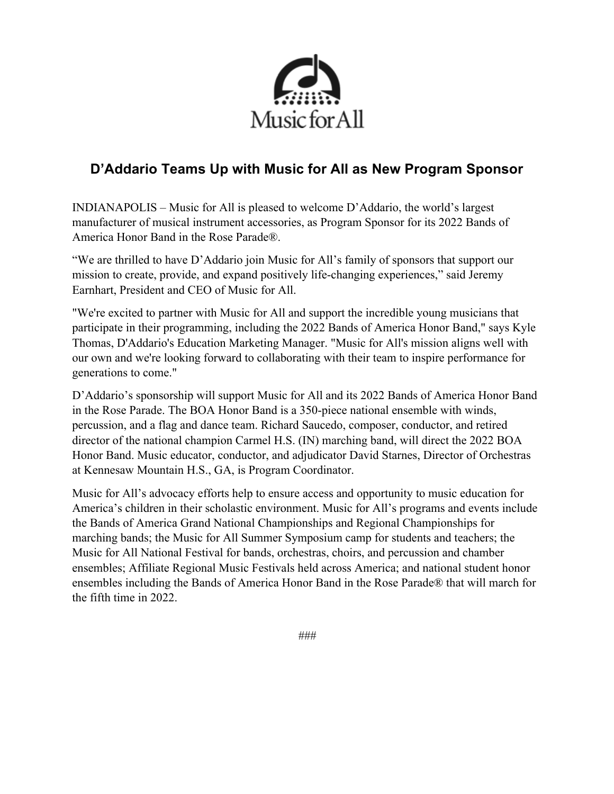

# **D'Addario Teams Up with Music for All as New Program Sponsor**

INDIANAPOLIS – Music for All is pleased to welcome D'Addario, the world's largest manufacturer of musical instrument accessories, as Program Sponsor for its 2022 Bands of America Honor Band in the Rose Parade®.

"We are thrilled to have D'Addario join Music for All's family of sponsors that support our mission to create, provide, and expand positively life-changing experiences," said Jeremy Earnhart, President and CEO of Music for All.

"We're excited to partner with Music for All and support the incredible young musicians that participate in their programming, including the 2022 Bands of America Honor Band," says Kyle Thomas, D'Addario's Education Marketing Manager. "Music for All's mission aligns well with our own and we're looking forward to collaborating with their team to inspire performance for generations to come."

D'Addario's sponsorship will support Music for All and its 2022 Bands of America Honor Band in the Rose Parade. The BOA Honor Band is a 350-piece national ensemble with winds, percussion, and a flag and dance team. Richard Saucedo, composer, conductor, and retired director of the national champion Carmel H.S. (IN) marching band, will direct the 2022 BOA Honor Band. Music educator, conductor, and adjudicator David Starnes, Director of Orchestras at Kennesaw Mountain H.S., GA, is Program Coordinator.

Music for All's advocacy efforts help to ensure access and opportunity to music education for America's children in their scholastic environment. Music for All's programs and events include the Bands of America Grand National Championships and Regional Championships for marching bands; the Music for All Summer Symposium camp for students and teachers; the Music for All National Festival for bands, orchestras, choirs, and percussion and chamber ensembles; Affiliate Regional Music Festivals held across America; and national student honor ensembles including the Bands of America Honor Band in the Rose Parade® that will march for the fifth time in 2022.

*###*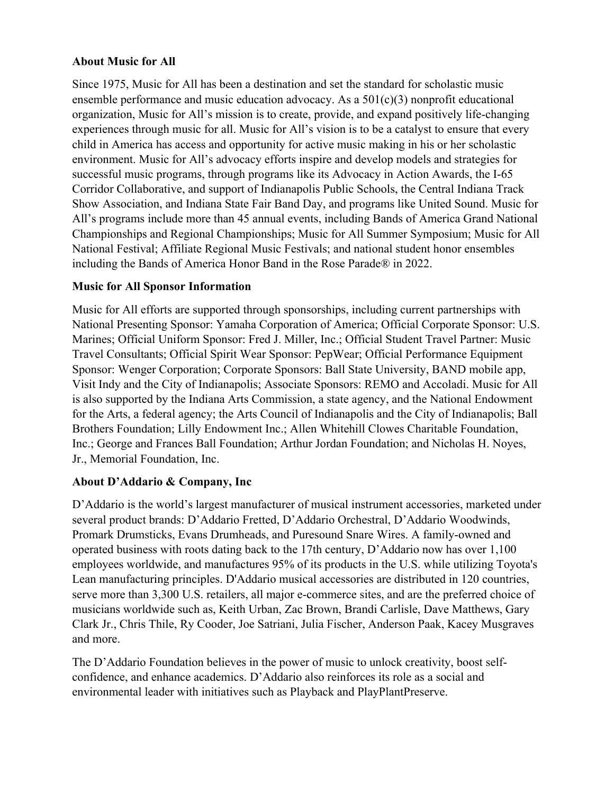## **About Music for All**

Since 1975, Music for All has been a destination and set the standard for scholastic music ensemble performance and music education advocacy. As a  $501(c)(3)$  nonprofit educational organization, Music for All's mission is to create, provide, and expand positively life-changing experiences through music for all. Music for All's vision is to be a catalyst to ensure that every child in America has access and opportunity for active music making in his or her scholastic environment. Music for All's advocacy efforts inspire and develop models and strategies for successful music programs, through programs like its Advocacy in Action Awards, the I-65 Corridor Collaborative, and support of Indianapolis Public Schools, the Central Indiana Track Show Association, and Indiana State Fair Band Day, and programs like United Sound. Music for All's programs include more than 45 annual events, including Bands of America Grand National Championships and Regional Championships; Music for All Summer Symposium; Music for All National Festival; Affiliate Regional Music Festivals; and national student honor ensembles including the Bands of America Honor Band in the Rose Parade® in 2022.

#### **Music for All Sponsor Information**

Music for All efforts are supported through sponsorships, including current partnerships with National Presenting Sponsor: Yamaha Corporation of America; Official Corporate Sponsor: U.S. Marines; Official Uniform Sponsor: Fred J. Miller, Inc.; Official Student Travel Partner: Music Travel Consultants; Official Spirit Wear Sponsor: PepWear; Official Performance Equipment Sponsor: Wenger Corporation; Corporate Sponsors: Ball State University, BAND mobile app, Visit Indy and the City of Indianapolis; Associate Sponsors: REMO and Accoladi. Music for All is also supported by the Indiana Arts Commission, a state agency, and the National Endowment for the Arts, a federal agency; the Arts Council of Indianapolis and the City of Indianapolis; Ball Brothers Foundation; Lilly Endowment Inc.; Allen Whitehill Clowes Charitable Foundation, Inc.; George and Frances Ball Foundation; Arthur Jordan Foundation; and Nicholas H. Noyes, Jr., Memorial Foundation, Inc.

## **About D'Addario & Company, Inc**

D'Addario is the world's largest manufacturer of musical instrument accessories, marketed under several product brands: D'Addario Fretted, D'Addario Orchestral, D'Addario Woodwinds, Promark Drumsticks, Evans Drumheads, and Puresound Snare Wires. A family-owned and operated business with roots dating back to the 17th century, D'Addario now has over 1,100 employees worldwide, and manufactures 95% of its products in the U.S. while utilizing Toyota's Lean manufacturing principles. D'Addario musical accessories are distributed in 120 countries, serve more than 3,300 U.S. retailers, all major e-commerce sites, and are the preferred choice of musicians worldwide such as, Keith Urban, Zac Brown, Brandi Carlisle, Dave Matthews, Gary Clark Jr., Chris Thile, Ry Cooder, Joe Satriani, Julia Fischer, Anderson Paak, Kacey Musgraves and more.

The D'Addario Foundation believes in the power of music to unlock creativity, boost selfconfidence, and enhance academics. D'Addario also reinforces its role as a social and environmental leader with initiatives such as Playback and PlayPlantPreserve.